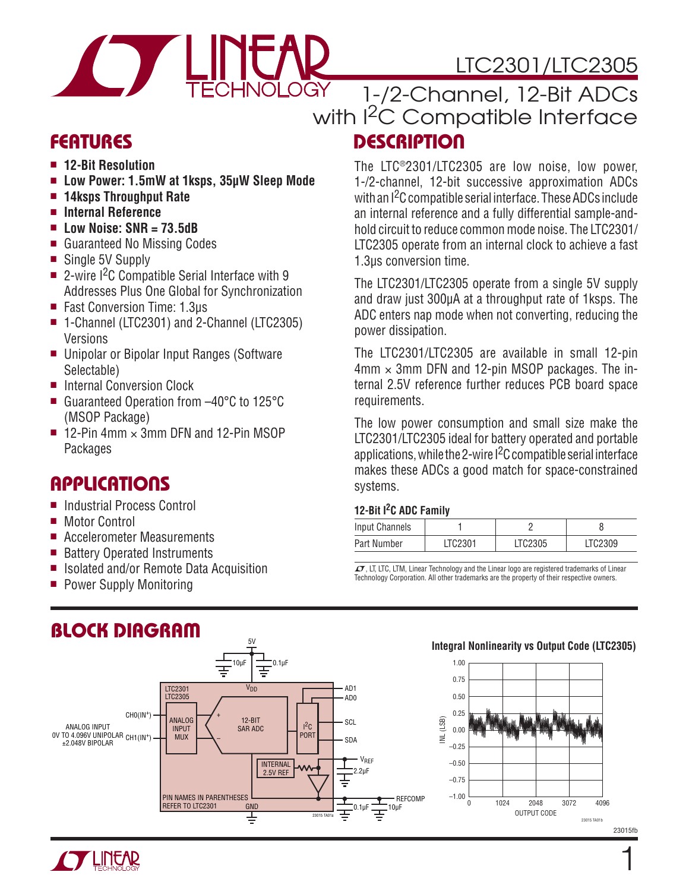# LTC2301/LTC2305



### **DESCRIPTION** 1-/2-Channel, 12-Bit ADCs with <sup>2</sup>C Compatible Interface

### **FEATURES**

- <sup>n</sup> **12-Bit Resolution**
- <sup>n</sup> **Low Power: 1.5mW at 1ksps, 35μW Sleep Mode**
- <sup>n</sup> **14ksps Throughput Rate**
- Internal Reference
- <sup>n</sup> **Low Noise: SNR = 73.5dB**
- Guaranteed No Missing Codes
- Single 5V Supply
- 2-wire  $1^2C$  Compatible Serial Interface with 9 Addresses Plus One Global for Synchronization
- Fast Conversion Time: 1.3µs
- 1-Channel (LTC2301) and 2-Channel (LTC2305) Versions
- Unipolar or Bipolar Input Ranges (Software Selectable)
- Internal Conversion Clock
- Guaranteed Operation from –40°C to 125°C (MSOP Package)
- **12-Pin 4mm**  $\times$  **3mm DFN and 12-Pin MSOP** Packages

### **APPLICATIONS**

- Industrial Process Control
- Motor Control
- Accelerometer Measurements
- Battery Operated Instruments
- Isolated and/or Remote Data Acquisition
- Power Supply Monitoring

### **BLOCK DIAGRAM**



1-/2-channel, 12-bit successive approximation ADCs with an I<sup>2</sup>C compatible serial interface. These ADCs include an internal reference and a fully differential sample-andhold circuit to reduce common mode noise. The LTC2301/ LTC2305 operate from an internal clock to achieve a fast 1.3μs conversion time.

The LTC2301/LTC2305 operate from a single 5V supply and draw just 300μA at a throughput rate of 1ksps. The ADC enters nap mode when not converting, reducing the power dissipation.

The LTC2301/LTC2305 are available in small 12-pin  $4 \text{mm} \times 3 \text{mm}$  DFN and 12-pin MSOP packages. The internal 2.5V reference further reduces PCB board space requirements.

The low power consumption and small size make the LTC2301/LTC2305 ideal for battery operated and portable applications, while the 2-wire  $1<sup>2</sup>C$  compatible serial interface makes these ADCs a good match for space-constrained systems.

#### **12-Bit I2C ADC Family**

|                       | <b>IL DILI VIIDVIUIIII</b> |         |         |  |  |  |  |  |  |  |
|-----------------------|----------------------------|---------|---------|--|--|--|--|--|--|--|
| <b>Input Channels</b> |                            |         |         |  |  |  |  |  |  |  |
| Part Number           | LTC2301                    | LTC2305 | LTC2309 |  |  |  |  |  |  |  |
|                       |                            |         |         |  |  |  |  |  |  |  |

 $\sqrt{\ }$ , LT, LTC, LTM, Linear Technology and the Linear logo are registered trademarks of Linear Technology Corporation. All other trademarks are the property of their respective owners.





1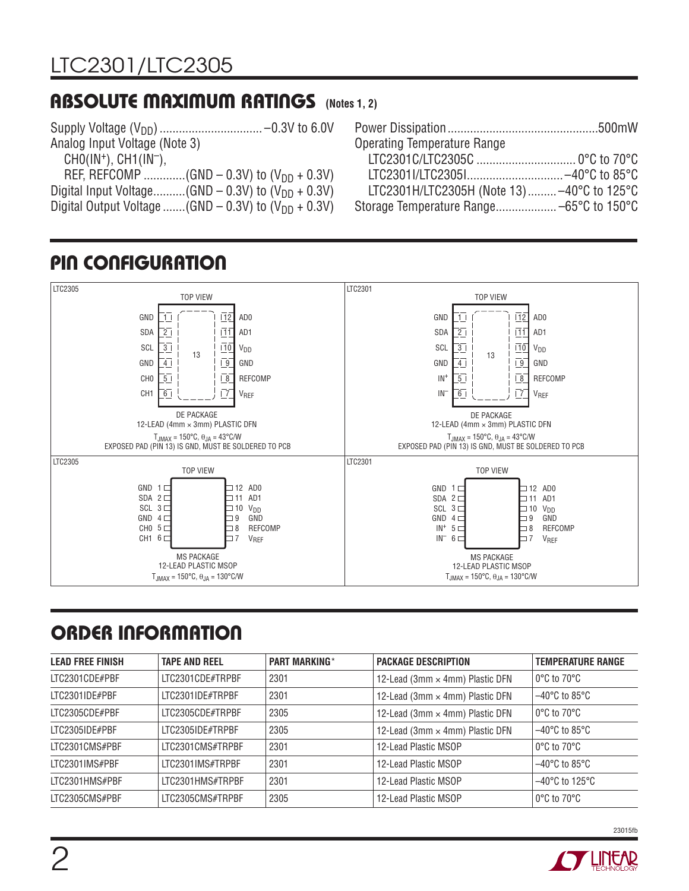### **ABSOLUTE MAXIMUM RATINGS (Notes 1, 2)**

| <b>Operating Temperature Range</b>        |  |
|-------------------------------------------|--|
|                                           |  |
|                                           |  |
| LTC2301H/LTC2305H (Note 13)-40°C to 125°C |  |
|                                           |  |

# **PIN CONFIGURATION**



# **ORDER INFORMATION**

| <b>LEAD FREE FINISH</b> | <b>TAPE AND REEL</b> | <b>PART MARKING*</b> | <b>PACKAGE DESCRIPTION</b>      | <b>TEMPERATURE RANGE</b>            |
|-------------------------|----------------------|----------------------|---------------------------------|-------------------------------------|
| LTC2301CDE#PBF          | LTC2301CDE#TRPBF     | 2301                 | 12-Lead (3mm × 4mm) Plastic DFN | 0°C to 70°C                         |
| LTC2301IDE#PBF          | LTC2301IDE#TRPBF     | 2301                 | 12-Lead (3mm × 4mm) Plastic DFN | $-40^{\circ}$ C to 85°C             |
| LTC2305CDE#PBF          | LTC2305CDE#TRPBF     | 2305                 | 12-Lead (3mm × 4mm) Plastic DFN | $0^{\circ}$ C to 70 $^{\circ}$ C    |
| LTC2305IDE#PBF          | LTC2305IDE#TRPBF     | 2305                 | 12-Lead (3mm × 4mm) Plastic DFN | $-40^{\circ}$ C to 85 $^{\circ}$ C  |
| LTC2301CMS#PBF          | LTC2301CMS#TRPBF     | 2301                 | 12-Lead Plastic MSOP            | $0^{\circ}$ C to $70^{\circ}$ C     |
| LTC2301IMS#PBF          | LTC2301IMS#TRPBF     | 2301                 | 12-Lead Plastic MSOP            | $-40^{\circ}$ C to 85 $^{\circ}$ C  |
| LTC2301HMS#PBF          | LTC2301HMS#TRPBF     | 2301                 | 12-Lead Plastic MSOP            | $-40^{\circ}$ C to 125 $^{\circ}$ C |
| LTC2305CMS#PBF          | LTC2305CMS#TRPBF     | 2305                 | 12-Lead Plastic MSOP            | 0°C to 70°C                         |

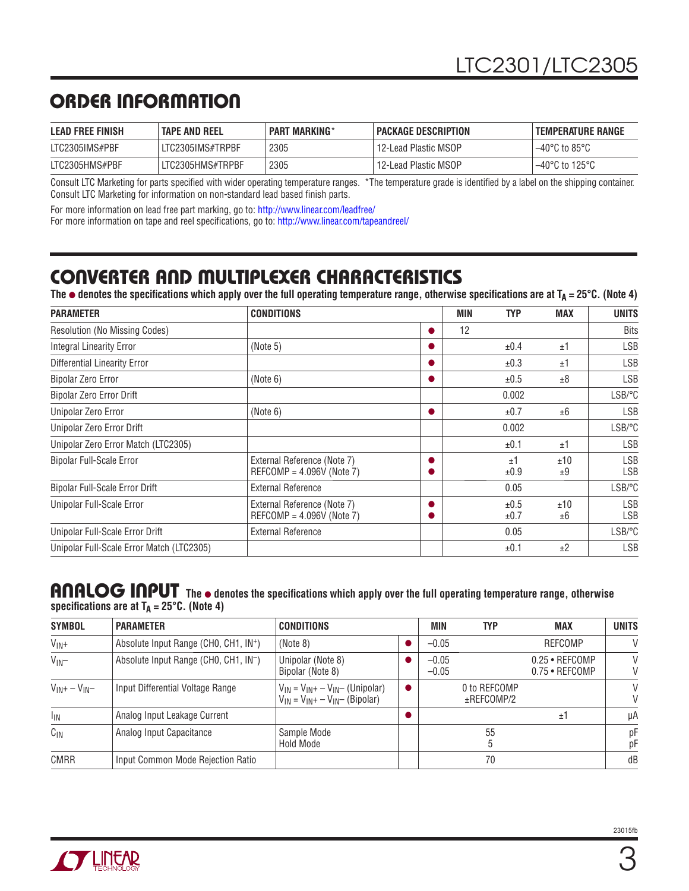### **ORDER INFORMATION**

| <b>LEAD FREE FINISH</b> | <b>TAPE AND REEL</b> | <b>PART MARKING*</b> | <b>PACKAGE DESCRIPTION</b> | <b>TEMPERATURE RANGE</b>            |
|-------------------------|----------------------|----------------------|----------------------------|-------------------------------------|
| LTC2305IMS#PBF          | LTC2305IMS#TRPBF     | 2305                 | 12-Lead Plastic MSOP       | $-40^{\circ}$ C to 85°C             |
| LTC2305HMS#PBF          | LTC2305HMS#TRPBF     | 2305                 | 12-Lead Plastic MSOP       | $-40^{\circ}$ C to 125 $^{\circ}$ C |

Consult LTC Marketing for parts specified with wider operating temperature ranges. \*The temperature grade is identified by a label on the shipping container. Consult LTC Marketing for information on non-standard lead based finish parts.

For more information on lead free part marking, go to: http://www.linear.com/leadfree/

For more information on tape and reel specifications, go to: http://www.linear.com/tapeandreel/

### **CONVERTER AND MULTIPLEXER CHARACTERISTICS**

The  $\bullet$  denotes the specifications which apply over the full operating temperature range, otherwise specifications are at T<sub>A</sub> = 25°C. (Note 4)

| <b>PARAMETER</b>                          | <b>CONDITIONS</b>                                          |   | <b>MIN</b> | <b>TYP</b>   | <b>MAX</b> | <b>UNITS</b>             |
|-------------------------------------------|------------------------------------------------------------|---|------------|--------------|------------|--------------------------|
| <b>Resolution (No Missing Codes)</b>      |                                                            | O | 12         |              |            | <b>Bits</b>              |
| <b>Integral Linearity Error</b>           | (Note 5)                                                   | O |            | ±0.4         | ±1         | <b>LSB</b>               |
| <b>Differential Linearity Error</b>       |                                                            |   |            | ±0.3         | ±1         | <b>LSB</b>               |
| <b>Bipolar Zero Error</b>                 | (Note 6)                                                   |   |            | ±0.5         | ±8         | <b>LSB</b>               |
| Bipolar Zero Error Drift                  |                                                            |   |            | 0.002        |            | LSB/°C                   |
| Unipolar Zero Error                       | (Note 6)                                                   |   |            | ±0.7         | ±6         | <b>LSB</b>               |
| Unipolar Zero Error Drift                 |                                                            |   |            | 0.002        |            | LSB/°C                   |
| Unipolar Zero Error Match (LTC2305)       |                                                            |   |            | ±0.1         | ±1         | <b>LSB</b>               |
| <b>Bipolar Full-Scale Error</b>           | External Reference (Note 7)<br>REFCOMP = $4.096V$ (Note 7) |   |            | $+1$<br>±0.9 | ±10<br>±9  | <b>LSB</b><br><b>LSB</b> |
| Bipolar Full-Scale Error Drift            | External Reference                                         |   |            | 0.05         |            | LSB/°C                   |
| Unipolar Full-Scale Error                 | External Reference (Note 7)<br>$REFCOMP = 4.096V (Note 7)$ |   |            | ±0.5<br>±0.7 | ±10<br>±6  | <b>LSB</b><br><b>LSB</b> |
| Unipolar Full-Scale Error Drift           | <b>External Reference</b>                                  |   |            | 0.05         |            | LSB/°C                   |
| Unipolar Full-Scale Error Match (LTC2305) |                                                            |   |            | ±0.1         | ±2         | <b>LSB</b>               |

#### ANALOG INPUT The  $\bullet$  denotes the specifications which apply over the full operating temperature range, otherwise **specifi cations are at TA = 25°C. (Note 4)**

| <b>SYMBOL</b>        | <b>PARAMETER</b>                                  | <b>CONDITIONS</b>                                                               | <b>MIN</b>         | <b>TYP</b>                 | <b>MAX</b>                                   | <b>UNITS</b> |
|----------------------|---------------------------------------------------|---------------------------------------------------------------------------------|--------------------|----------------------------|----------------------------------------------|--------------|
| $V_{IN}+$            | Absolute Input Range (CHO, CH1, IN <sup>+</sup> ) | (Note 8)                                                                        | $-0.05$            |                            | <b>REFCOMP</b>                               | V            |
| $V_{IN}$             | Absolute Input Range (CHO, CH1, IN <sup>-</sup> ) | Unipolar (Note 8)<br>Bipolar (Note 8)                                           | $-0.05$<br>$-0.05$ |                            | $0.25 \cdot$ REFCOMP<br>$0.75 \cdot$ REFCOMP | V<br>V       |
| $V_{IN}$ + $-V_{IN}$ | Input Differential Voltage Range                  | $V_{IN} = V_{IN} + -V_{IN}$ (Unipolar)<br>$V_{IN} = V_{IN} + -V_{IN}$ (Bipolar) |                    | 0 to REFCOMP<br>±REFCOMP/2 |                                              | V<br>V       |
| <sup>I</sup> IN      | Analog Input Leakage Current                      |                                                                                 |                    |                            | ±1                                           | μA           |
| $C_{IN}$             | Analog Input Capacitance                          | Sample Mode<br>Hold Mode                                                        |                    | 55<br>5                    |                                              | рF<br>рF     |
| <b>CMRR</b>          | Input Common Mode Rejection Ratio                 |                                                                                 |                    | 70                         |                                              | dB           |

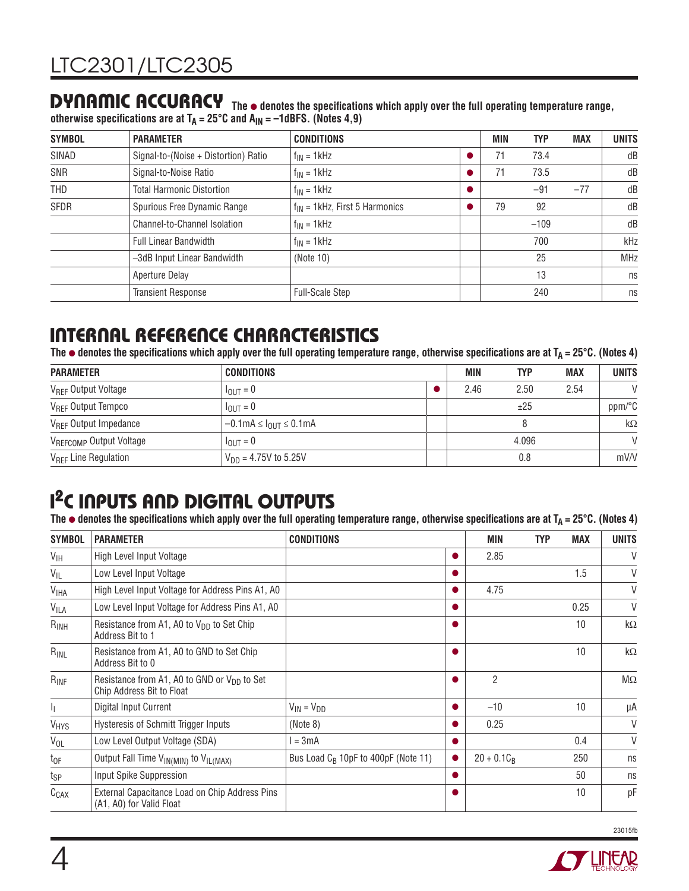**DYNAMIC ACCURACY** The  $\bullet$  denotes the specifications which apply over the full operating temperature range, otherwise specifications are at T<sub>A</sub> = 25°C and A<sub>IN</sub> = –1dBFS. (Notes 4,9)

| <b>SYMBOL</b> | <b>PARAMETER</b>                     | <b>CONDITIONS</b>                  | <b>MIN</b> | <b>TYP</b> | <b>MAX</b> | <b>UNITS</b> |
|---------------|--------------------------------------|------------------------------------|------------|------------|------------|--------------|
| SINAD         | Signal-to-(Noise + Distortion) Ratio | $f_{IN} = 1$ kHz                   | 71         | 73.4       |            | dB           |
| SNR           | Signal-to-Noise Ratio                | $f_{IN} = 1$ kHz                   | 71         | 73.5       |            | dB           |
| THD           | <b>Total Harmonic Distortion</b>     | $f_{IN} = 1$ kHz                   |            | $-91$      | $-77$      | dB           |
| <b>SFDR</b>   | Spurious Free Dynamic Range          | $f_{IN}$ = 1kHz, First 5 Harmonics | 79         | 92         |            | dB           |
|               | Channel-to-Channel Isolation         | $f_{IN} = 1$ kHz                   |            | $-109$     |            | dB           |
|               | <b>Full Linear Bandwidth</b>         | $f_{IN} = 1$ kHz                   |            | 700        |            | kHz          |
|               | -3dB Input Linear Bandwidth          | (Note 10)                          |            | 25         |            | <b>MHz</b>   |
|               | Aperture Delay                       |                                    |            | 13         |            | ns           |
|               | <b>Transient Response</b>            | <b>Full-Scale Step</b>             |            | 240        |            | ns           |

### **INTERNAL REFERENCE CHARACTERISTICS**

The  $\bullet$  denotes the specifications which apply over the full operating temperature range, otherwise specifications are at T<sub>A</sub> = 25°C. (Notes 4)

| <b>PARAMETER</b>                  | CONDITIONS                             |  | MIN   | <b>TYP</b> | MAX       | <b>UNITS</b> |
|-----------------------------------|----------------------------------------|--|-------|------------|-----------|--------------|
| V <sub>REF</sub> Output Voltage   | $I_{OIII} = 0$                         |  | 2.46  | 2.50       | 2.54      | $\mathsf{V}$ |
| V <sub>REF</sub> Output Tempco    | $I_{\text{OUT}} = 0$                   |  |       | ±25        |           | ppm/°C       |
| $V_{\text{RFF}}$ Output Impedance | $-0.1$ mA $\leq$ $I_{OUT} \leq 0.1$ mA |  |       |            | $k\Omega$ |              |
| VREFCOMP Output Voltage           | $I_{\text{OUT}} = 0$                   |  | 4.096 |            |           | $\mathsf{V}$ |
| V <sub>RFF</sub> Line Regulation  | $V_{DD} = 4.75V$ to 5.25V              |  | 0.8   |            |           | mV/V         |

# **I 2C INPUTS AND DIGITAL OUTPUTS**

The  $\bullet$  denotes the specifications which apply over the full operating temperature range, otherwise specifications are at T<sub>A</sub> = 25°C. (Notes 4)

| <b>SYMBOL</b>          | <b>PARAMETER</b>                                                              | <b>CONDITIONS</b>                               |           | <b>MIN</b>     | <b>TYP</b> | <b>MAX</b> | UNITS     |
|------------------------|-------------------------------------------------------------------------------|-------------------------------------------------|-----------|----------------|------------|------------|-----------|
| V <sub>IH</sub>        | High Level Input Voltage                                                      |                                                 | $\bullet$ | 2.85           |            |            | V         |
| $V_{ L}$               | Low Level Input Voltage                                                       |                                                 |           |                |            | 1.5        | V         |
| <b>V<sub>IHA</sub></b> | High Level Input Voltage for Address Pins A1, A0                              |                                                 |           | 4.75           |            |            | V         |
| <b>VILA</b>            | Low Level Input Voltage for Address Pins A1, A0                               |                                                 |           |                |            | 0.25       | V         |
| $R_{INH}$              | Resistance from A1, A0 to $V_{DD}$ to Set Chip<br>Address Bit to 1            |                                                 |           |                |            | 10         | $k\Omega$ |
| $R_{INL}$              | Resistance from A1, A0 to GND to Set Chip<br>Address Bit to 0                 |                                                 |           |                |            | 10         | $k\Omega$ |
| $R_{INF}$              | Resistance from A1, A0 to GND or $V_{DD}$ to Set<br>Chip Address Bit to Float |                                                 |           | $\overline{2}$ |            |            | $M\Omega$ |
| 4                      | Digital Input Current                                                         | $V_{IN} = V_{DD}$                               | ●         | $-10$          |            | 10         | μA        |
| V <sub>HYS</sub>       | Hysteresis of Schmitt Trigger Inputs                                          | (Note 8)                                        |           | 0.25           |            |            | V         |
| $V_{OL}$               | Low Level Output Voltage (SDA)                                                | $= 3mA$                                         |           |                |            | 0.4        | V         |
| $t_{OF}$               | Output Fall Time V <sub>IN(MIN)</sub> to V <sub>IL(MAX)</sub>                 | Bus Load C <sub>B</sub> 10pF to 400pF (Note 11) | $\bullet$ | $20 + 0.1C_R$  |            | 250        | ns        |
| $t_{SP}$               | Input Spike Suppression                                                       |                                                 |           |                |            | 50         | ns        |
| $C_{CAX}$              | External Capacitance Load on Chip Address Pins<br>(A1, A0) for Valid Float    |                                                 |           |                |            | 10         | pF        |

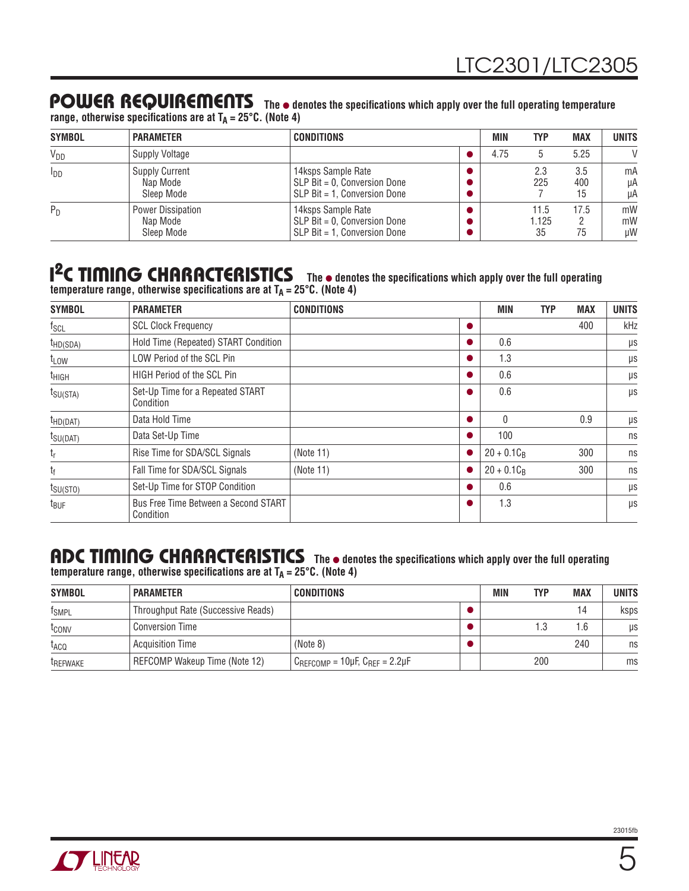### POWER REQUIREMENTS The  $\bullet$  denotes the specifications which apply over the full operating temperature

range, otherwise specifications are at T<sub>A</sub> = 25°C. (Note 4)

| <b>SYMBOL</b> | <b>PARAMETER</b>                                | <b>CONDITIONS</b>                                                                      | <b>MIN</b> | <b>TYP</b>          | <b>MAX</b>       | <b>UNITS</b>   |
|---------------|-------------------------------------------------|----------------------------------------------------------------------------------------|------------|---------------------|------------------|----------------|
| $V_{DD}$      | Supply Voltage                                  |                                                                                        | 4.75       |                     | 5.25             | $\mathcal{U}$  |
| $I_{DD}$      | <b>Supply Current</b><br>Nap Mode<br>Sleep Mode | 14ksps Sample Rate<br>$SLP$ Bit = 0. Conversion Done<br>$SLP$ Bit = 1. Conversion Done |            | 2.3<br>225          | 3.5<br>400<br>15 | mA<br>μA<br>μA |
| $P_D$         | Power Dissipation<br>Nap Mode<br>Sleep Mode     | 14ksps Sample Rate<br>$SLP$ Bit = 0, Conversion Done<br>$SLP$ Bit = 1. Conversion Done |            | 11.5<br>1.125<br>35 | 17.5<br>75       | mW<br>mW<br>иW |

#### **I<sup>2</sup>C TIMING CHARACTERISTICS** The  $\bullet$  denotes the specifications which apply over the full operating temperature range, otherwise specifications are at T<sub>A</sub> = 25°C. (Note 4)

| <b>SYMBOL</b>        | <b>PARAMETER</b>                                  | <b>CONDITIONS</b> | <b>MIN</b>    | <b>TYP</b> | <b>MAX</b> | <b>UNITS</b> |
|----------------------|---------------------------------------------------|-------------------|---------------|------------|------------|--------------|
| $f_{SCL}$            | <b>SCL Clock Frequency</b>                        |                   |               |            | 400        | kHz          |
| $t_{HD(SDA)}$        | Hold Time (Repeated) START Condition              |                   | 0.6           |            |            | μs           |
| t <sub>LOW</sub>     | LOW Period of the SCL Pin                         |                   | 1.3           |            |            | μs           |
| t <sub>HIGH</sub>    | <b>HIGH Period of the SCL Pin</b>                 |                   | 0.6           |            |            | μs           |
| $t_{\text{SU(STA)}}$ | Set-Up Time for a Repeated START<br>Condition     |                   | 0.6           |            |            | μs           |
| $t_{HD(DAT)}$        | Data Hold Time                                    |                   | $\Omega$      |            | 0.9        | μs           |
| $t_{\text{SU(DAT)}}$ | Data Set-Up Time                                  |                   | 100           |            |            | ns           |
| $t_{r}$              | Rise Time for SDA/SCL Signals                     | (Note 11)         | $20 + 0.1C_R$ |            | 300        | ns           |
| t <sub>f</sub>       | Fall Time for SDA/SCL Signals                     | (Note 11)         | $20 + 0.1C_R$ |            | 300        | ns           |
| $t_{\text{SU(STO)}}$ | Set-Up Time for STOP Condition                    |                   | 0.6           |            |            | μs           |
| t <sub>BUF</sub>     | Bus Free Time Between a Second START<br>Condition |                   | 1.3           |            |            | $\mu s$      |

# ADC TIMING CHARACTERISTICS The  $\bullet$  denotes the specifications which apply over the full operating

temperature range, otherwise specifications are at T<sub>A</sub> = 25°C. (Note 4)

| <b>SYMBOL</b>        | <b>PARAMETER</b>                   | <b>CONDITIONS</b>                       | MIN | TYP | <b>MAX</b> | <b>UNITS</b> |
|----------------------|------------------------------------|-----------------------------------------|-----|-----|------------|--------------|
| <sup>t</sup> SMPL    | Throughput Rate (Successive Reads) |                                         |     |     | 14         | ksps         |
| t <sub>conv</sub>    | <b>Conversion Time</b>             |                                         |     |     | 1.6        | μs           |
| t <sub>ACQ</sub>     | Acquisition Time                   | (Note 8)                                |     |     | 240        | ns           |
| <sup>I</sup> REFWAKE | REFCOMP Wakeup Time (Note 12)      | $C_{REFCOMP}$ = 10µF, $C_{REF}$ = 2.2µF |     | 200 |            | ms           |

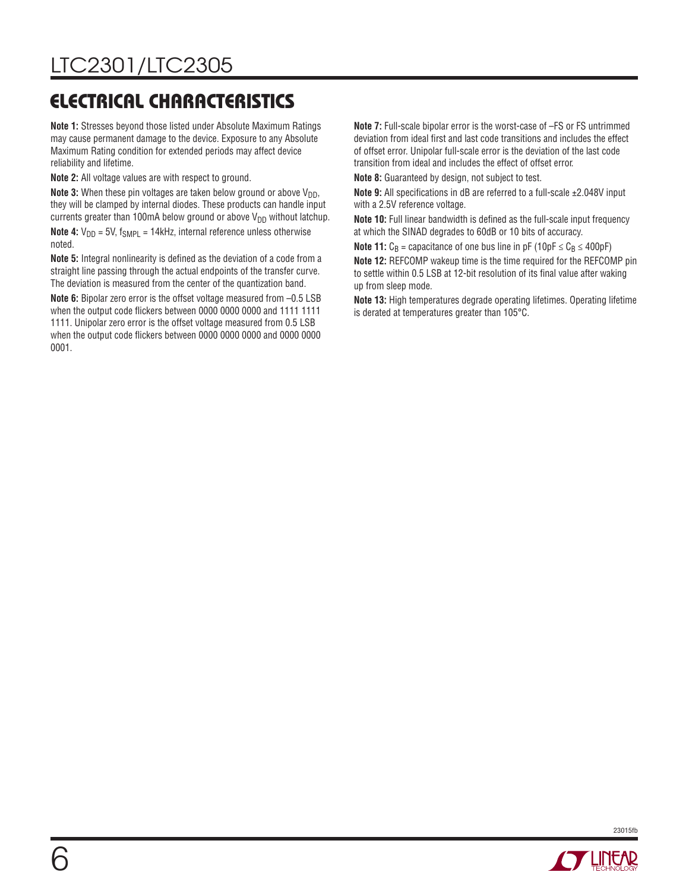# **ELECTRICAL CHARACTERISTICS**

**Note 1:** Stresses beyond those listed under Absolute Maximum Ratings may cause permanent damage to the device. Exposure to any Absolute Maximum Rating condition for extended periods may affect device reliability and lifetime.

**Note 2:** All voltage values are with respect to ground.

**Note 3:** When these pin voltages are taken below ground or above  $V_{DD}$ , they will be clamped by internal diodes. These products can handle input currents greater than 100mA below ground or above  $V_{DD}$  without latchup. **Note 4:**  $V_{DD} = 5V$ ,  $f_{SMPL} = 14kHz$ , internal reference unless otherwise noted.

Note 5: Integral nonlinearity is defined as the deviation of a code from a straight line passing through the actual endpoints of the transfer curve. The deviation is measured from the center of the quantization band.

**Note 6:** Bipolar zero error is the offset voltage measured from –0.5 LSB when the output code flickers between 0000 0000 0000 and 1111 1111 1111. Unipolar zero error is the offset voltage measured from 0.5 LSB when the output code flickers between 0000 0000 0000 and 0000 0000 0001.

**Note 7:** Full-scale bipolar error is the worst-case of –FS or FS untrimmed deviation from ideal first and last code transitions and includes the effect of offset error. Unipolar full-scale error is the deviation of the last code transition from ideal and includes the effect of offset error.

**Note 8:** Guaranteed by design, not subject to test.

**Note 9:** All specifications in dB are referred to a full-scale ±2.048V input with a 2.5V reference voltage.

**Note 10:** Full linear bandwidth is defined as the full-scale input frequency at which the SINAD degrades to 60dB or 10 bits of accuracy.

**Note 11:**  $C_B$  = capacitance of one bus line in pF (10pF  $\leq C_B \leq 400pF$ )

**Note 12:** REFCOMP wakeup time is the time required for the REFCOMP pin to settle within 0.5 LSB at 12-bit resolution of its final value after waking up from sleep mode.

**Note 13:** High temperatures degrade operating lifetimes. Operating lifetime is derated at temperatures greater than 105°C.



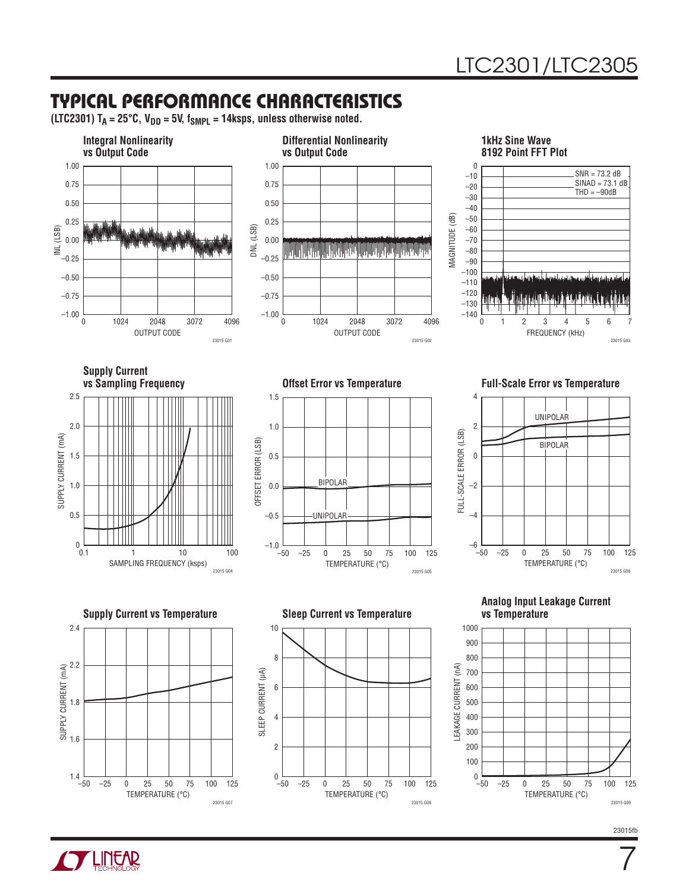### **TYPICAL PERFORMANCE CHARACTERISTICS**

 $(LTC2301)$  T<sub>A</sub> = 25°C, V<sub>DD</sub> = 5V, f<sub>SMPL</sub> = 14ksps, unless otherwise noted.



**TLINEAR** 

7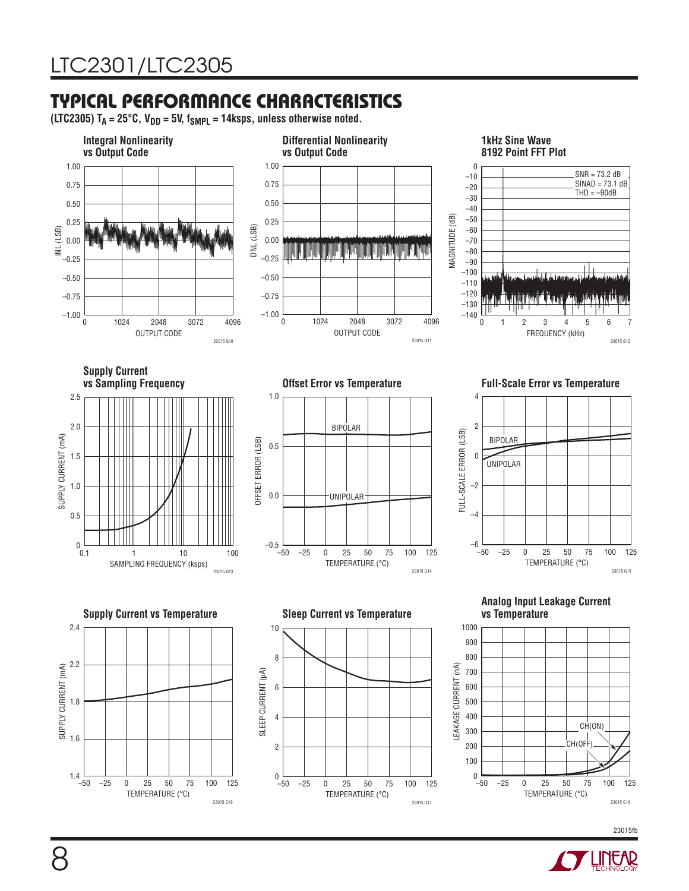### **TYPICAL PERFORMANCE CHARACTERISTICS**

23015 G16

(LTC2305)  $T_A = 25^\circ \text{C}$ ,  $V_{DD} = 5V$ ,  $f_{SMPL} = 14$ ksps, unless otherwise noted.



23015 G17

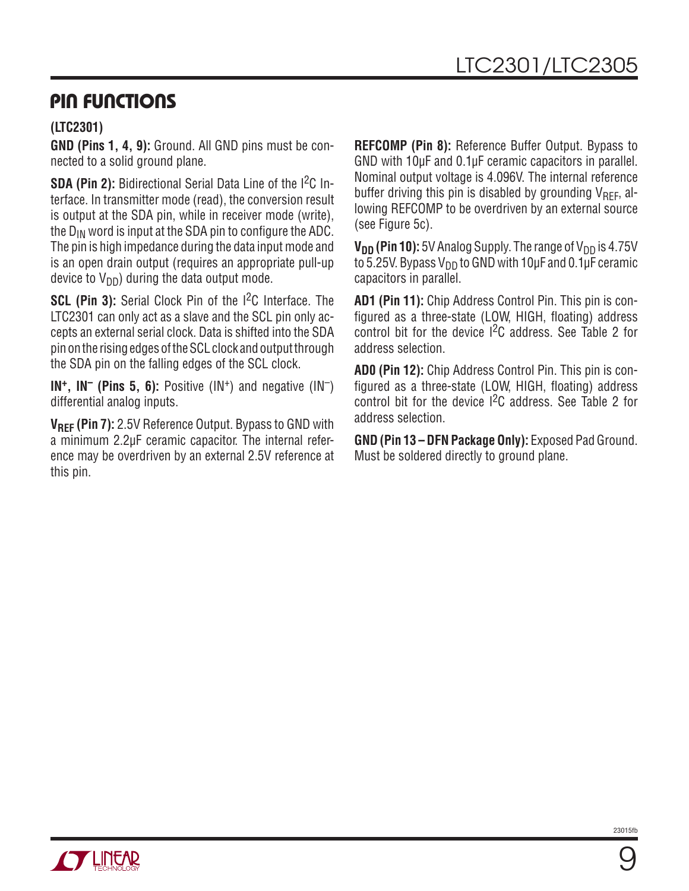### **PIN FUNCTIONS**

**OT LINUAR** 

#### **(LTC2301)**

**GND (Pins 1, 4, 9):** Ground. All GND pins must be connected to a solid ground plane.

**SDA (Pin 2):** Bidirectional Serial Data Line of the I<sup>2</sup>C Interface. In transmitter mode (read), the conversion result is output at the SDA pin, while in receiver mode (write), the  $D_{IN}$  word is input at the SDA pin to configure the ADC. The pin is high impedance during the data input mode and is an open drain output (requires an appropriate pull-up device to  $V_{DD}$ ) during the data output mode.

**SCL (Pin 3):** Serial Clock Pin of the I<sup>2</sup>C Interface. The LTC2301 can only act as a slave and the SCL pin only accepts an external serial clock. Data is shifted into the SDA pin on the rising edges of the SCL clock and output through the SDA pin on the falling edges of the SCL clock.

**IN<sup>+</sup>, IN<sup>-</sup> (Pins 5, 6):** Positive (IN<sup>+</sup>) and negative (IN<sup>-</sup>) differential analog inputs.

**VREF (Pin 7):** 2.5V Reference Output. Bypass to GND with a minimum 2.2μF ceramic capacitor. The internal reference may be overdriven by an external 2.5V reference at this pin.

**REFCOMP (Pin 8):** Reference Buffer Output. Bypass to GND with 10μF and 0.1μF ceramic capacitors in parallel. Nominal output voltage is 4.096V. The internal reference buffer driving this pin is disabled by grounding  $V_{\text{RFE}}$ , allowing REFCOMP to be overdriven by an external source (see Figure 5c).

 $V_{DD}$  (Pin 10): 5V Analog Supply. The range of V<sub>DD</sub> is 4.75V to 5.25V. Bypass V<sub>DD</sub> to GND with 10 $\mu$ F and 0.1 $\mu$ F ceramic capacitors in parallel.

**AD1 (Pin 11):** Chip Address Control Pin. This pin is configured as a three-state (LOW, HIGH, floating) address control bit for the device I2C address. See Table 2 for address selection.

**AD0 (Pin 12):** Chip Address Control Pin. This pin is configured as a three-state (LOW, HIGH, floating) address control bit for the device I2C address. See Table 2 for address selection.

**GND (Pin 13 – DFN Package Only):** Exposed Pad Ground. Must be soldered directly to ground plane.



9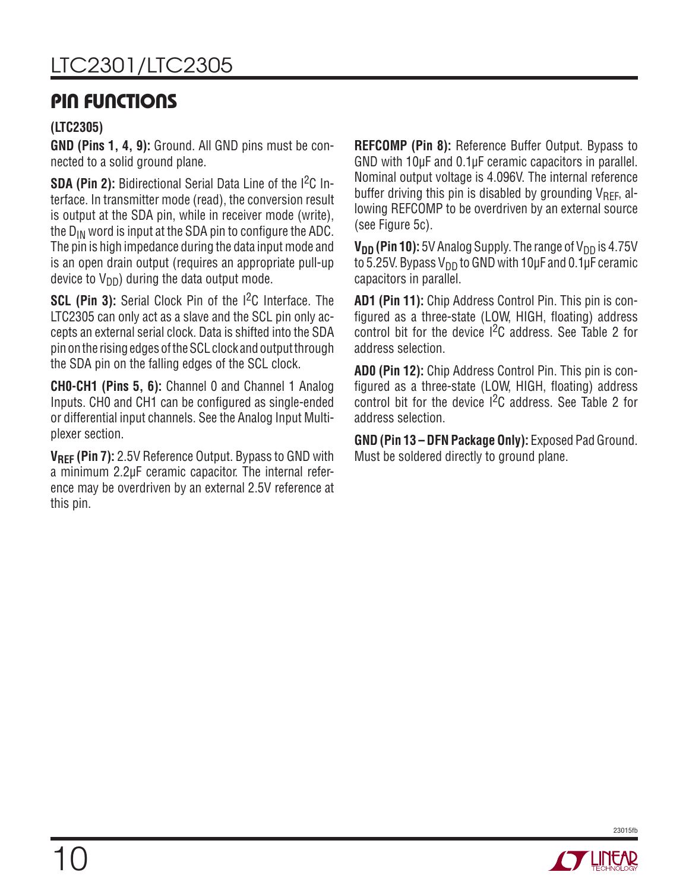# LTC2301/LTC2305

### **PIN FUNCTIONS**

#### **(LTC2305)**

**GND (Pins 1, 4, 9):** Ground. All GND pins must be connected to a solid ground plane.

**SDA (Pin 2):** Bidirectional Serial Data Line of the I<sup>2</sup>C Interface. In transmitter mode (read), the conversion result is output at the SDA pin, while in receiver mode (write), the  $D_{IN}$  word is input at the SDA pin to configure the ADC. The pin is high impedance during the data input mode and is an open drain output (requires an appropriate pull-up device to  $V_{DD}$ ) during the data output mode.

**SCL (Pin 3):** Serial Clock Pin of the I<sup>2</sup>C Interface. The LTC2305 can only act as a slave and the SCL pin only accepts an external serial clock. Data is shifted into the SDA pin on the rising edges of the SCL clock and output through the SDA pin on the falling edges of the SCL clock.

**CH0-CH1 (Pins 5, 6):** Channel 0 and Channel 1 Analog Inputs. CHO and CH1 can be configured as single-ended or differential input channels. See the Analog Input Multiplexer section.

**VREF (Pin 7):** 2.5V Reference Output. Bypass to GND with a minimum 2.2μF ceramic capacitor. The internal reference may be overdriven by an external 2.5V reference at this pin.

**REFCOMP (Pin 8):** Reference Buffer Output. Bypass to GND with 10μF and 0.1μF ceramic capacitors in parallel. Nominal output voltage is 4.096V. The internal reference buffer driving this pin is disabled by grounding  $V_{\text{RFE}}$ , allowing REFCOMP to be overdriven by an external source (see Figure 5c).

 $V_{DD}$  (Pin 10): 5V Analog Supply. The range of V<sub>DD</sub> is 4.75V to 5.25V. Bypass V<sub>DD</sub> to GND with 10μF and 0.1μF ceramic capacitors in parallel.

**AD1 (Pin 11):** Chip Address Control Pin. This pin is configured as a three-state (LOW, HIGH, floating) address control bit for the device I2C address. See Table 2 for address selection.

**AD0 (Pin 12):** Chip Address Control Pin. This pin is configured as a three-state (LOW, HIGH, floating) address control bit for the device I2C address. See Table 2 for address selection.

**GND (Pin 13 – DFN Package Only):** Exposed Pad Ground. Must be soldered directly to ground plane.

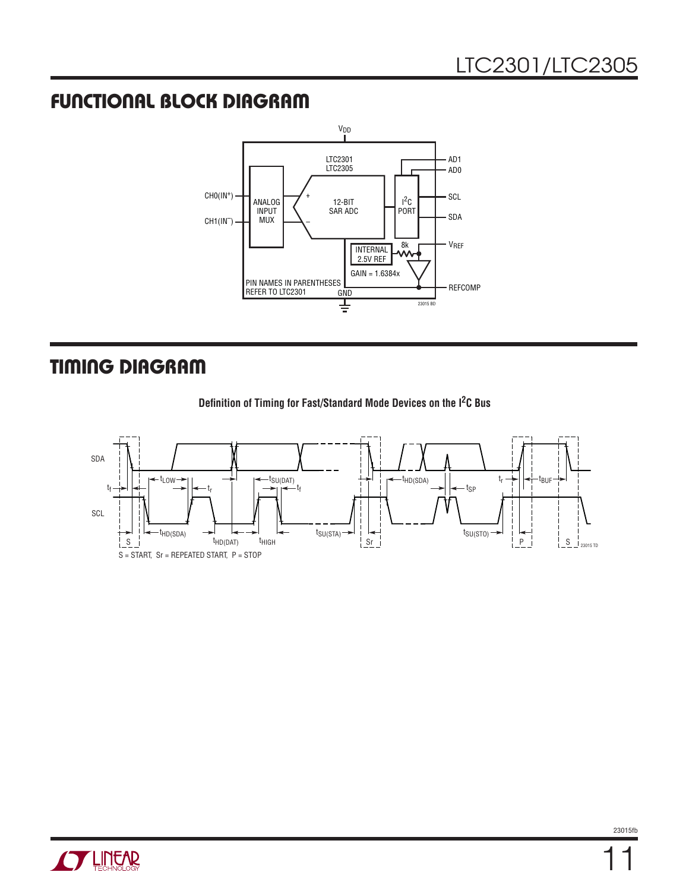### **FUNCTIONAL BLOCK DIAGRAM**



### **TIMING DIAGRAM**





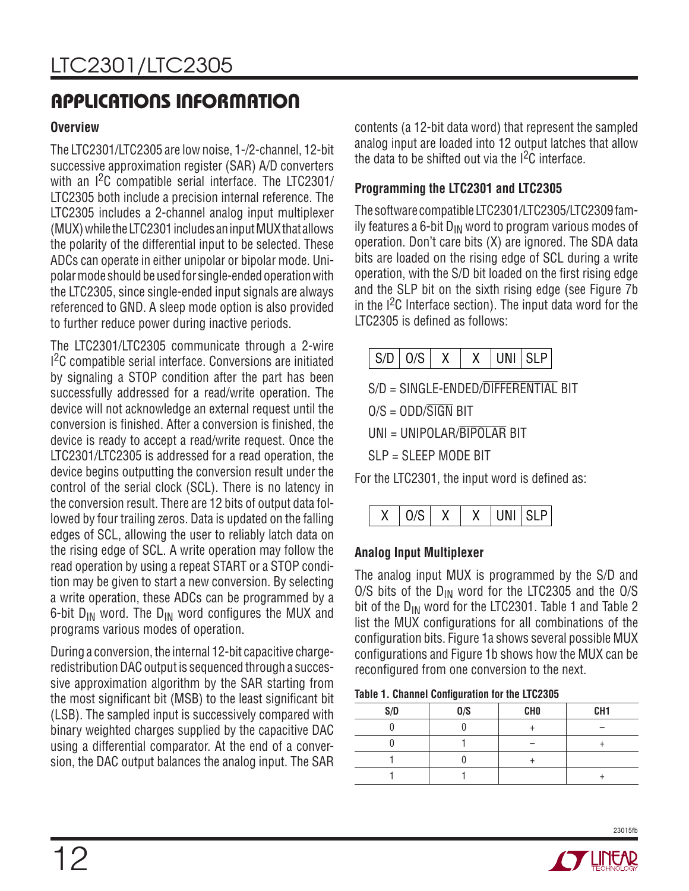#### **Overview**

The LTC2301/LTC2305 are low noise, 1-/2-channel, 12-bit successive approximation register (SAR) A/D converters with an I<sup>2</sup>C compatible serial interface. The LTC2301/ LTC2305 both include a precision internal reference. The LTC2305 includes a 2-channel analog input multiplexer (MUX) while the LTC2301 includes an input MUX that allows the polarity of the differential input to be selected. These ADCs can operate in either unipolar or bipolar mode. Unipolar mode should be used for single-ended operation with the LTC2305, since single-ended input signals are always referenced to GND. A sleep mode option is also provided to further reduce power during inactive periods.

The LTC2301/LTC2305 communicate through a 2-wire I 2C compatible serial interface. Conversions are initiated by signaling a STOP condition after the part has been successfully addressed for a read/write operation. The device will not acknowledge an external request until the conversion is finished. After a conversion is finished, the device is ready to accept a read/write request. Once the LTC2301/LTC2305 is addressed for a read operation, the device begins outputting the conversion result under the control of the serial clock (SCL). There is no latency in the conversion result. There are 12 bits of output data followed by four trailing zeros. Data is updated on the falling edges of SCL, allowing the user to reliably latch data on the rising edge of SCL. A write operation may follow the read operation by using a repeat START or a STOP condition may be given to start a new conversion. By selecting a write operation, these ADCs can be programmed by a 6-bit  $D_{IN}$  word. The  $D_{IN}$  word configures the MUX and programs various modes of operation.

During a conversion, the internal 12-bit capacitive chargeredistribution DAC output is sequenced through a successive approximation algorithm by the SAR starting from the most significant bit (MSB) to the least significant bit (LSB). The sampled input is successively compared with binary weighted charges supplied by the capacitive DAC using a differential comparator. At the end of a conversion, the DAC output balances the analog input. The SAR contents (a 12-bit data word) that represent the sampled analog input are loaded into 12 output latches that allow the data to be shifted out via the I2C interface.

#### **Programming the LTC2301 and LTC2305**

The software compatible LTC2301/LTC2305/LTC2309 family features a 6-bit  $D_{IN}$  word to program various modes of operation. Don't care bits (X) are ignored. The SDA data bits are loaded on the rising edge of SCL during a write operation, with the S/D bit loaded on the first rising edge and the SLP bit on the sixth rising edge (see Figure 7b in the I2C Interface section). The input data word for the  $LTC2305$  is defined as follows:



S/D = SINGLE-ENDED/DIFFERENTIAL BIT

 $O/S = ODD/\overline{SIGN}$  BIT

UNI = UNIPOLAR/BIPOLAR BIT

SLP = SLEEP MODE BIT

For the LTC2301, the input word is defined as:



#### **Analog Input Multiplexer**

The analog input MUX is programmed by the S/D and O/S bits of the  $D_{IN}$  word for the LTC2305 and the O/S bit of the D<sub>IN</sub> word for the LTC2301. Table 1 and Table 2 list the MUX configurations for all combinations of the configuration bits. Figure 1a shows several possible MUX configurations and Figure 1b shows how the MUX can be reconfigured from one conversion to the next.

|  |  | Table 1. Channel Configuration for the LTC2305 |  |  |
|--|--|------------------------------------------------|--|--|
|--|--|------------------------------------------------|--|--|

| S/D | 0/S | <b>CHO</b> | CH <sub>1</sub> |
|-----|-----|------------|-----------------|
|     |     |            |                 |
|     |     |            |                 |
|     |     |            |                 |
|     |     |            |                 |

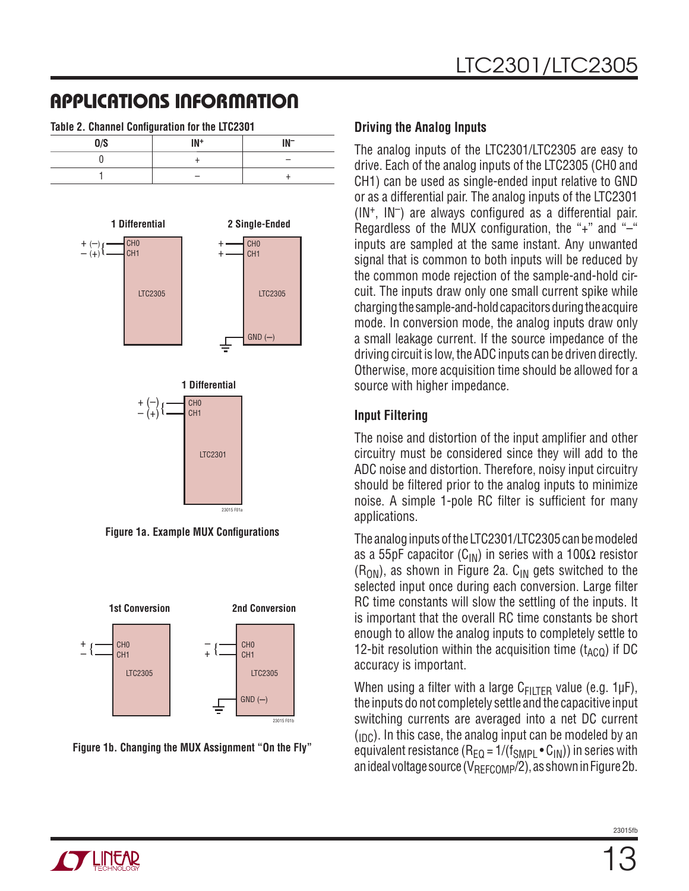| Table 2. Channel Configuration for the LTC2301 |     |  |  |
|------------------------------------------------|-----|--|--|
| 0/S                                            | IN+ |  |  |
|                                                |     |  |  |
|                                                |     |  |  |



**Figure 1a. Example MUX Configurations** 



**Figure 1b. Changing the MUX Assignment "On the Fly"**

#### **Driving the Analog Inputs**

The analog inputs of the LTC2301/LTC2305 are easy to drive. Each of the analog inputs of the LTC2305 (CH0 and CH1) can be used as single-ended input relative to GND or as a differential pair. The analog inputs of the LTC2301  $(1N^+$ ,  $1N^-$ ) are always configured as a differential pair. Regardless of the MUX configuration, the "+" and " $-$ " inputs are sampled at the same instant. Any unwanted signal that is common to both inputs will be reduced by the common mode rejection of the sample-and-hold circuit. The inputs draw only one small current spike while charging the sample-and-hold capacitors during the acquire mode. In conversion mode, the analog inputs draw only a small leakage current. If the source impedance of the driving circuit is low, the ADC inputs can be driven directly. Otherwise, more acquisition time should be allowed for a source with higher impedance.

#### **Input Filtering**

The noise and distortion of the input amplifier and other circuitry must be considered since they will add to the ADC noise and distortion. Therefore, noisy input circuitry should be filtered prior to the analog inputs to minimize noise. A simple 1-pole RC filter is sufficient for many applications.

The analog inputs of the LTC2301/LTC2305 can be modeled as a 55pF capacitor ( $C_{IN}$ ) in series with a 100 $\Omega$  resistor  $(R<sub>ON</sub>)$ , as shown in Figure 2a. C<sub>IN</sub> gets switched to the selected input once during each conversion. Large filter RC time constants will slow the settling of the inputs. It is important that the overall RC time constants be short enough to allow the analog inputs to completely settle to 12-bit resolution within the acquisition time  $(t_{ACO})$  if DC accuracy is important.

When using a filter with a large  $C_{F|LTER}$  value (e.g. 1µF), the inputs do not completely settle and the capacitive input switching currents are averaged into a net DC current  $(p<sub>CD</sub>)$ . In this case, the analog input can be modeled by an equivalent resistance ( $R_{EQ} = 1/(f_{SMPL} \cdot C_{IN})$ ) in series with an ideal voltage source  $(V_{\text{RFICOMP}}/2)$ , as shown in Figure 2b.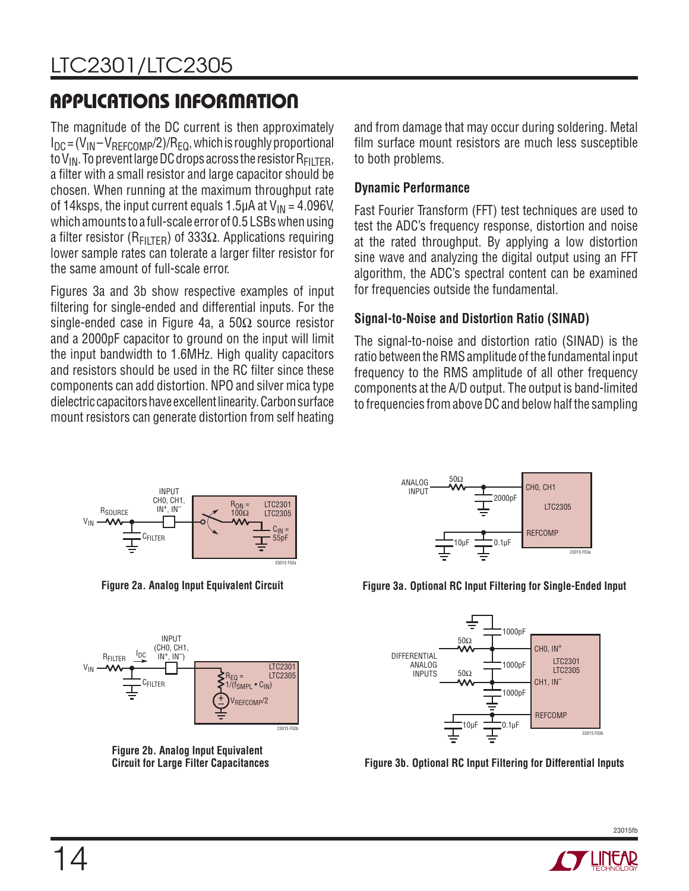The magnitude of the DC current is then approximately  $I_{DC} = (V_{IN} - V_{REFCOMP}/2)/R_{FO}$ , which is roughly proportional to  $V_{IN}$ . To prevent large DC drops across the resistor  $R_{FII}$ <sub>TER</sub>, a filter with a small resistor and large capacitor should be chosen. When running at the maximum throughput rate of 14ksps, the input current equals 1.5μA at  $V_{IN} = 4.096V$ , which amounts to a full-scale error of 0.5 LSBs when using a filter resistor ( $R_{\text{FIITFR}}$ ) of 333 $\Omega$ . Applications requiring lower sample rates can tolerate a larger filter resistor for the same amount of full-scale error.

Figures 3a and 3b show respective examples of input filtering for single-ended and differential inputs. For the single-ended case in Figure 4a, a  $50\Omega$  source resistor and a 2000pF capacitor to ground on the input will limit the input bandwidth to 1.6MHz. High quality capacitors and resistors should be used in the RC filter since these components can add distortion. NPO and silver mica type dielectric capacitors have excellent linearity. Carbon surface mount resistors can generate distortion from self heating and from damage that may occur during soldering. Metal film surface mount resistors are much less susceptible to both problems.

#### **Dynamic Performance**

Fast Fourier Transform (FFT) test techniques are used to test the ADC's frequency response, distortion and noise at the rated throughput. By applying a low distortion sine wave and analyzing the digital output using an FFT algorithm, the ADC's spectral content can be examined for frequencies outside the fundamental.

#### **Signal-to-Noise and Distortion Ratio (SINAD)**

The signal-to-noise and distortion ratio (SINAD) is the ratio between the RMS amplitude of the fundamental input frequency to the RMS amplitude of all other frequency components at the A/D output. The output is band-limited to frequencies from above DC and below half the sampling



**Figure 2a. Analog Input Equivalent Circuit**



**Figure 2b. Analog Input Equivalent Circuit for Large Filter Capacitances**



**Figure 3a. Optional RC Input Filtering for Single-Ended Input**



**Figure 3b. Optional RC Input Filtering for Differential Inputs**

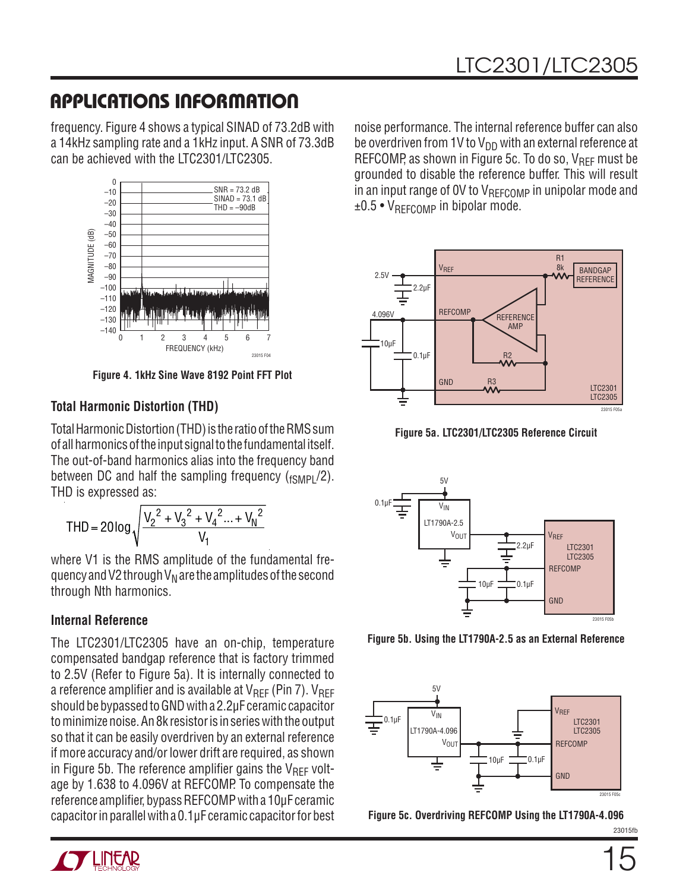frequency. Figure 4 shows a typical SINAD of 73.2dB with a 14kHz sampling rate and a 1kHz input. A SNR of 73.3dB can be achieved with the LTC2301/LTC2305.



**Figure 4. 1kHz Sine Wave 8192 Point FFT Plot**

#### **Total Harmonic Distortion (THD)**

Total Harmonic Distortion (THD) is the ratio of the RMS sum of all harmonics of the input signal to the fundamental itself. The out-of-band harmonics alias into the frequency band between DC and half the sampling frequency  $({}_{fSMPI}/2)$ . THD is expressed as:

$$
THD = 20 \log \sqrt{\frac{{V_2}^2 + {V_3}^2 + {V_4}^2 ... + {V_N}^2}{V_1}}
$$

where V1 is the RMS amplitude of the fundamental frequency and V2 through  $V_N$  are the amplitudes of the second through Nth harmonics.

#### **Internal Reference**

The LTC2301/LTC2305 have an on-chip, temperature compensated bandgap reference that is factory trimmed to 2.5V (Refer to Figure 5a). It is internally connected to a reference amplifier and is available at  $V_{REF}$  (Pin 7).  $V_{REF}$ should be bypassed to GND with a 2.2μF ceramic capacitor to minimize noise. An 8k resistor is in series with the output so that it can be easily overdriven by an external reference if more accuracy and/or lower drift are required, as shown in Figure 5b. The reference amplifier gains the  $V_{\text{RFF}}$  voltage by 1.638 to 4.096V at REFCOMP. To compensate the reference amplifier, bypass REFCOMP with a 10μF ceramic capacitor in parallel with a 0.1μF ceramic capacitor for best

noise performance. The internal reference buffer can also be overdriven from 1V to  $V_{DD}$  with an external reference at REFCOMP, as shown in Figure 5c. To do so,  $V_{\text{RFF}}$  must be grounded to disable the reference buffer. This will result in an input range of OV to  $V_{REFCOMP}$  in unipolar mode and  $±0.5 •V_{RFECOMP}$  in bipolar mode.



**Figure 5a. LTC2301/LTC2305 Reference Circuit**



**Figure 5b. Using the LT1790A-2.5 as an External Reference**



**Figure 5c. Overdriving REFCOMP Using the LT1790A-4.096**

23015fb

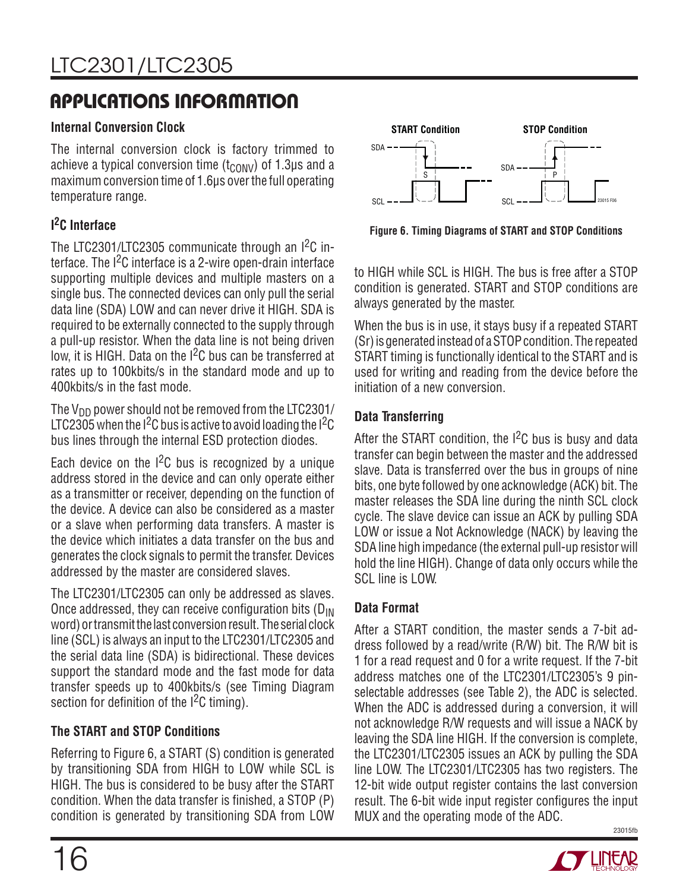# LTC2301/LTC2305

# **APPLICATIONS INFORMATION**

#### **Internal Conversion Clock**

The internal conversion clock is factory trimmed to achieve a typical conversion time  $(t_{\text{CONV}})$  of 1.3µs and a maximum conversion time of 1.6μs over the full operating temperature range.

### **I 2C Interface**

The LTC2301/LTC2305 communicate through an I<sup>2</sup>C interface. The I<sup>2</sup>C interface is a 2-wire open-drain interface supporting multiple devices and multiple masters on a single bus. The connected devices can only pull the serial data line (SDA) LOW and can never drive it HIGH. SDA is required to be externally connected to the supply through a pull-up resistor. When the data line is not being driven low, it is HIGH. Data on the I<sup>2</sup>C bus can be transferred at rates up to 100kbits/s in the standard mode and up to 400kbits/s in the fast mode.

The  $V_{DD}$  power should not be removed from the LTC2301/ LTC2305 when the  $1^2C$  bus is active to avoid loading the  $1^2C$ bus lines through the internal ESD protection diodes.

Each device on the  $1^2C$  bus is recognized by a unique address stored in the device and can only operate either as a transmitter or receiver, depending on the function of the device. A device can also be considered as a master or a slave when performing data transfers. A master is the device which initiates a data transfer on the bus and generates the clock signals to permit the transfer. Devices addressed by the master are considered slaves.

The LTC2301/LTC2305 can only be addressed as slaves. Once addressed, they can receive configuration bits  $(D_{IN}$ word) or transmit the last conversion result. The serial clock line (SCL) is always an input to the LTC2301/LTC2305 and the serial data line (SDA) is bidirectional. These devices support the standard mode and the fast mode for data transfer speeds up to 400kbits/s (see Timing Diagram section for definition of the  $1<sup>2</sup>C$  timing).

#### **The START and STOP Conditions**

Referring to Figure 6, a START (S) condition is generated by transitioning SDA from HIGH to LOW while SCL is HIGH. The bus is considered to be busy after the START condition. When the data transfer is finished, a STOP (P) condition is generated by transitioning SDA from LOW



**Figure 6. Timing Diagrams of START and STOP Conditions**

to HIGH while SCL is HIGH. The bus is free after a STOP condition is generated. START and STOP conditions are always generated by the master.

When the bus is in use, it stays busy if a repeated START (Sr) is generated instead of a STOP condition. The repeated START timing is functionally identical to the START and is used for writing and reading from the device before the initiation of a new conversion.

#### **Data Transferring**

After the START condition, the  $1^2C$  bus is busy and data transfer can begin between the master and the addressed slave. Data is transferred over the bus in groups of nine bits, one byte followed by one acknowledge (ACK) bit. The master releases the SDA line during the ninth SCL clock cycle. The slave device can issue an ACK by pulling SDA LOW or issue a Not Acknowledge (NACK) by leaving the SDA line high impedance (the external pull-up resistor will hold the line HIGH). Change of data only occurs while the SCL line is LOW.

#### **Data Format**

23015fb After a START condition, the master sends a 7-bit address followed by a read/write (R/W) bit. The R/W bit is 1 for a read request and 0 for a write request. If the 7-bit address matches one of the LTC2301/LTC2305's 9 pinselectable addresses (see Table 2), the ADC is selected. When the ADC is addressed during a conversion, it will not acknowledge R/W requests and will issue a NACK by leaving the SDA line HIGH. If the conversion is complete, the LTC2301/LTC2305 issues an ACK by pulling the SDA line LOW. The LTC2301/LTC2305 has two registers. The 12-bit wide output register contains the last conversion result. The 6-bit wide input register configures the input MUX and the operating mode of the ADC.

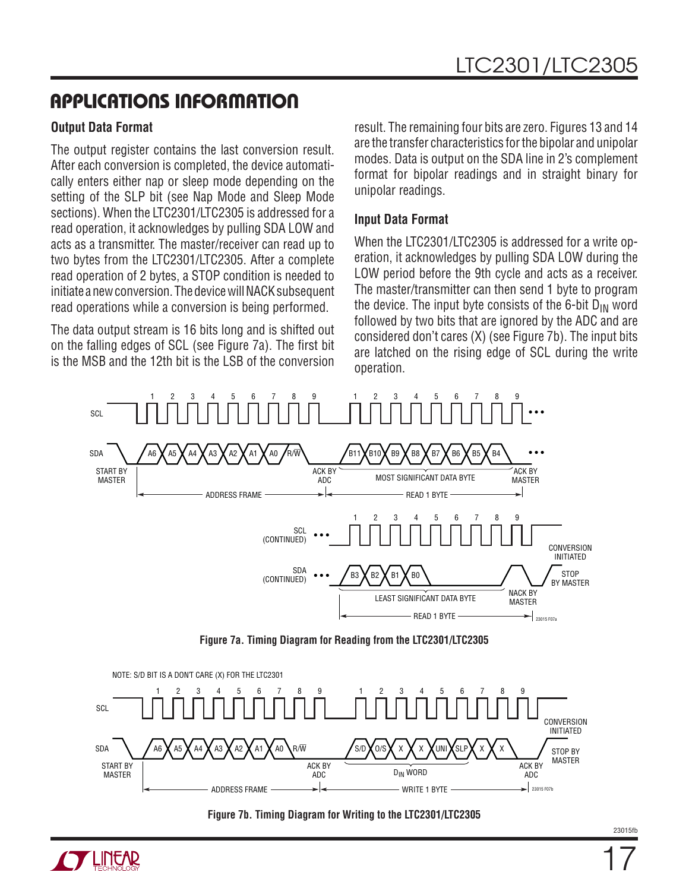#### **Output Data Format**

The output register contains the last conversion result. After each conversion is completed, the device automatically enters either nap or sleep mode depending on the setting of the SLP bit (see Nap Mode and Sleep Mode sections). When the LTC2301/LTC2305 is addressed for a read operation, it acknowledges by pulling SDA LOW and acts as a transmitter. The master/receiver can read up to two bytes from the LTC2301/LTC2305. After a complete read operation of 2 bytes, a STOP condition is needed to initiate a new conversion. The device will NACK subsequent read operations while a conversion is being performed.

The data output stream is 16 bits long and is shifted out on the falling edges of SCL (see Figure 7a). The first bit is the MSB and the 12th bit is the LSB of the conversion

result. The remaining four bits are zero. Figures 13 and 14 are the transfer characteristics for the bipolar and unipolar modes. Data is output on the SDA line in 2's complement format for bipolar readings and in straight binary for unipolar readings.

#### **Input Data Format**

When the LTC2301/LTC2305 is addressed for a write operation, it acknowledges by pulling SDA LOW during the LOW period before the 9th cycle and acts as a receiver. The master/transmitter can then send 1 byte to program the device. The input byte consists of the 6-bit  $D_{IN}$  word followed by two bits that are ignored by the ADC and are considered don't cares (X) (see Figure 7b). The input bits are latched on the rising edge of SCL during the write operation.



**Figure 7a. Timing Diagram for Reading from the LTC2301/LTC2305**





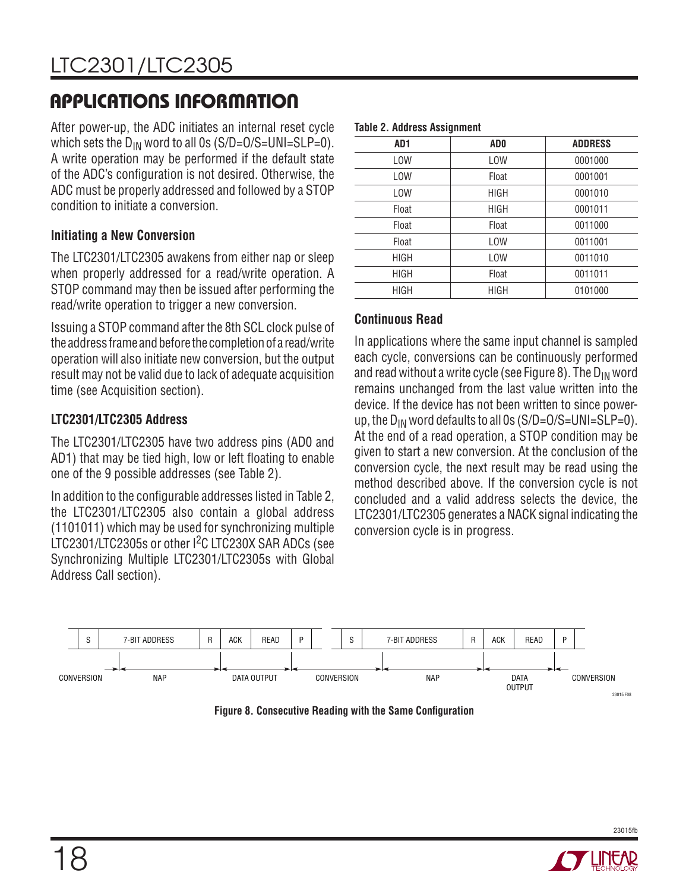After power-up, the ADC initiates an internal reset cycle which sets the  $D_{IN}$  word to all 0s (S/D=O/S=UNI=SLP=0). A write operation may be performed if the default state of the ADC's configuration is not desired. Otherwise. the ADC must be properly addressed and followed by a STOP condition to initiate a conversion.

#### **Initiating a New Conversion**

The LTC2301/LTC2305 awakens from either nap or sleep when properly addressed for a read/write operation. A STOP command may then be issued after performing the read/write operation to trigger a new conversion.

Issuing a STOP command after the 8th SCL clock pulse of the address frame and before the completion of a read/write operation will also initiate new conversion, but the output result may not be valid due to lack of adequate acquisition time (see Acquisition section).

#### **LTC2301/LTC2305 Address**

The LTC2301/LTC2305 have two address pins (AD0 and AD1) that may be tied high, low or left floating to enable one of the 9 possible addresses (see Table 2).

In addition to the configurable addresses listed in Table 2, the LTC2301/LTC2305 also contain a global address (1101011) which may be used for synchronizing multiple LTC2301/LTC2305s or other I2C LTC230X SAR ADCs (see Synchronizing Multiple LTC2301/LTC2305s with Global Address Call section).

|  |  |  | <b>Table 2. Address Assignment</b> |
|--|--|--|------------------------------------|
|--|--|--|------------------------------------|

| AD1         | AD <sub>0</sub> | <b>ADDRESS</b> |
|-------------|-----------------|----------------|
| <b>LOW</b>  | <b>LOW</b>      | 0001000        |
| <b>LOW</b>  | Float           | 0001001        |
| <b>LOW</b>  | <b>HIGH</b>     | 0001010        |
| Float       | <b>HIGH</b>     | 0001011        |
| Float       | Float           | 0011000        |
| Float       | <b>LOW</b>      | 0011001        |
| <b>HIGH</b> | <b>LOW</b>      | 0011010        |
| <b>HIGH</b> | Float           | 0011011        |
| <b>HIGH</b> | <b>HIGH</b>     | 0101000        |

#### **Continuous Read**

In applications where the same input channel is sampled each cycle, conversions can be continuously performed and read without a write cycle (see Figure 8). The  $D_{IN}$  word remains unchanged from the last value written into the device. If the device has not been written to since powerup, the  $D_{IN}$  word defaults to all 0s (S/D=O/S=UNI=SLP=0). At the end of a read operation, a STOP condition may be given to start a new conversion. At the conclusion of the conversion cycle, the next result may be read using the method described above. If the conversion cycle is not concluded and a valid address selects the device, the LTC2301/LTC2305 generates a NACK signal indicating the conversion cycle is in progress.



Figure 8. Consecutive Reading with the Same Configuration

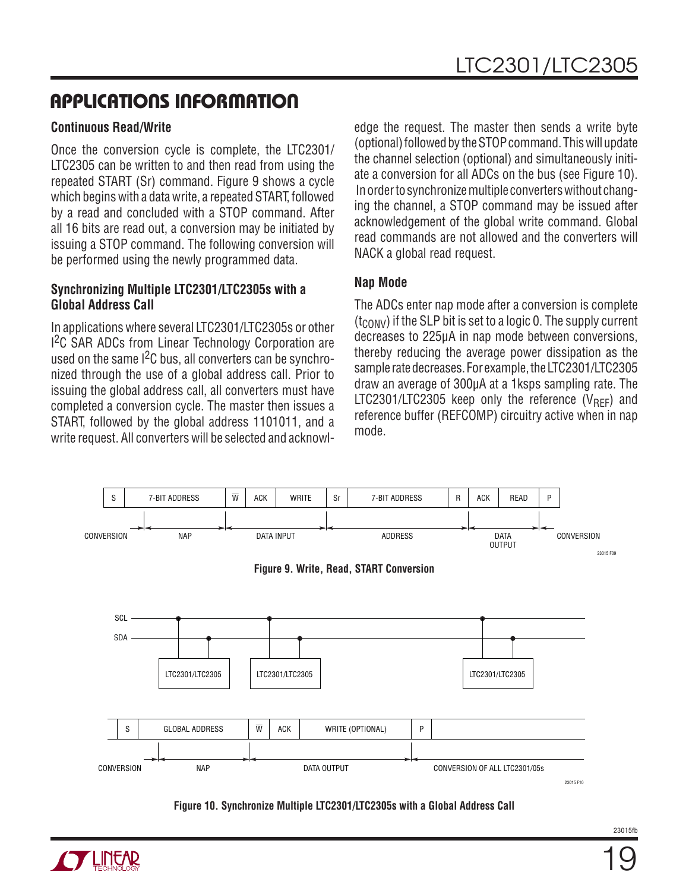#### **Continuous Read/Write**

Once the conversion cycle is complete, the LTC2301/ LTC2305 can be written to and then read from using the repeated START (Sr) command. Figure 9 shows a cycle which begins with a data write, a repeated START, followed by a read and concluded with a STOP command. After all 16 bits are read out, a conversion may be initiated by issuing a STOP command. The following conversion will be performed using the newly programmed data.

#### **Synchronizing Multiple LTC2301/LTC2305s with a Global Address Call**

In applications where several LTC2301/LTC2305s or other <sup>12</sup>C SAR ADCs from Linear Technology Corporation are used on the same  $1<sup>2</sup>C$  bus, all converters can be synchronized through the use of a global address call. Prior to issuing the global address call, all converters must have completed a conversion cycle. The master then issues a START, followed by the global address 1101011, and a write request. All converters will be selected and acknowledge the request. The master then sends a write byte (optional) followed by the STOP command. This will update the channel selection (optional) and simultaneously initiate a conversion for all ADCs on the bus (see Figure 10). In order to synchronize multiple converters without changing the channel, a STOP command may be issued after acknowledgement of the global write command. Global read commands are not allowed and the converters will NACK a global read request.

#### **Nap Mode**

The ADCs enter nap mode after a conversion is complete  $(t_{\text{CONV}})$  if the SLP bit is set to a logic 0. The supply current decreases to 225μA in nap mode between conversions, thereby reducing the average power dissipation as the sample rate decreases. For example, the LTC2301/LTC2305 draw an average of 300μA at a 1ksps sampling rate. The LTC2301/LTC2305 keep only the reference  $(V_{\text{RFF}})$  and reference buffer (REFCOMP) circuitry active when in nap mode.



**Figure 10. Synchronize Multiple LTC2301/LTC2305s with a Global Address Call**

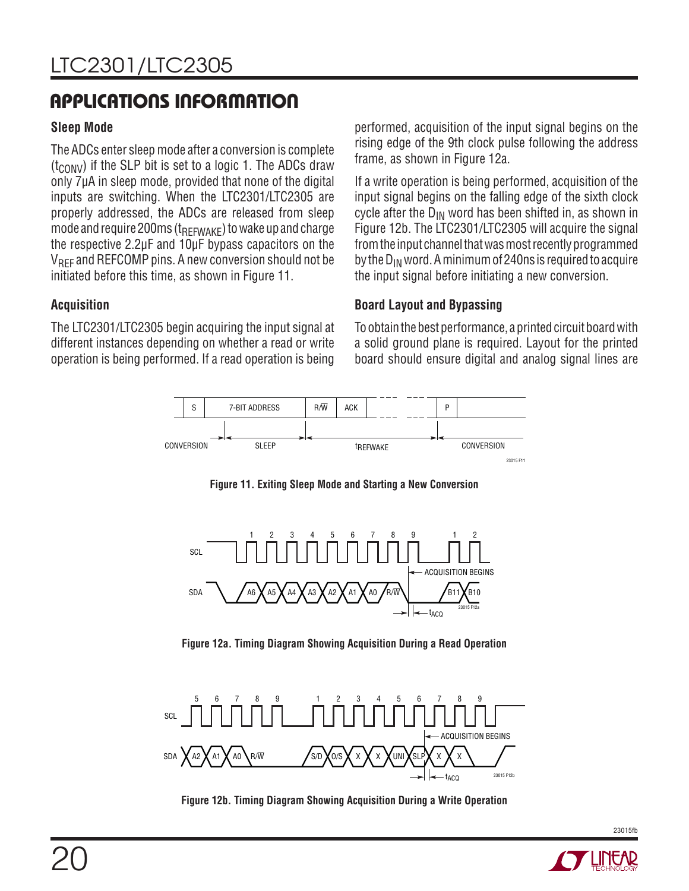#### **Sleep Mode**

The ADCs enter sleep mode after a conversion is complete  $(t_{\text{CONV}})$  if the SLP bit is set to a logic 1. The ADCs draw only 7μA in sleep mode, provided that none of the digital inputs are switching. When the LTC2301/LTC2305 are properly addressed, the ADCs are released from sleep mode and require 200ms ( $t_{RFFWAKE}$ ) to wake up and charge the respective 2.2μF and 10μF bypass capacitors on the V<sub>RFF</sub> and REFCOMP pins. A new conversion should not be initiated before this time, as shown in Figure 11.

**Acquisition**

The LTC2301/LTC2305 begin acquiring the input signal at different instances depending on whether a read or write operation is being performed. If a read operation is being

performed, acquisition of the input signal begins on the rising edge of the 9th clock pulse following the address frame, as shown in Figure 12a.

If a write operation is being performed, acquisition of the input signal begins on the falling edge of the sixth clock cycle after the  $D_{IN}$  word has been shifted in, as shown in Figure 12b. The LTC2301/LTC2305 will acquire the signal from the input channel that was most recently programmed by the  $D_{IN}$  word. A minimum of 240ns is required to acquire the input signal before initiating a new conversion.

#### **Board Layout and Bypassing**

To obtain the best performance, a printed circuit board with a solid ground plane is required. Layout for the printed board should ensure digital and analog signal lines are



**Figure 11. Exiting Sleep Mode and Starting a New Conversion**



**Figure 12a. Timing Diagram Showing Acquisition During a Read Operation**



**Figure 12b. Timing Diagram Showing Acquisition During a Write Operation**

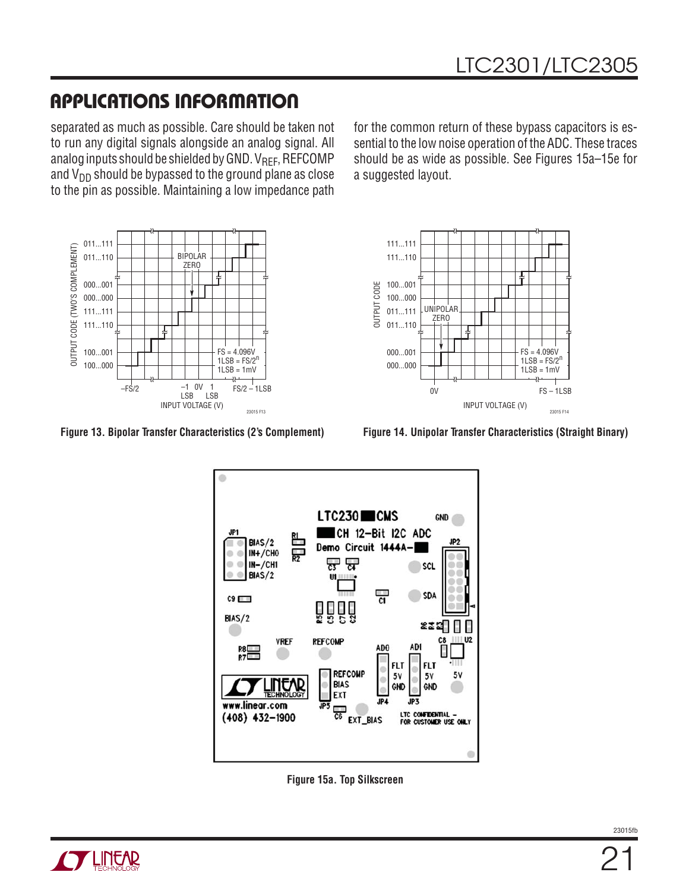separated as much as possible. Care should be taken not to run any digital signals alongside an analog signal. All analog inputs should be shielded by GND.  $V_{\text{REF}}$ , REFCOMP and  $V_{DD}$  should be bypassed to the ground plane as close to the pin as possible. Maintaining a low impedance path

011...111 OUTPUT CODE (TWO'S COMPLEMENT) OUTPUT CODE (TWO'S COMPLEMENT) 011...110 BIPOLAR ZERO 000...001 000...000 111...111 111...110  $FS = 4.096V$ 100...001  $1LSB = FS/2<sup>n</sup>$ 100...000  $1LSB = 1mV$  $-FS/2$   $-1$  0V 1  $FS/2 - 1LSB$ 1 0V –1

**Figure 13. Bipolar Transfer Characteristics (2's Complement) Figure 14. Unipolar Transfer Characteristics (Straight Binary)**

INPUT VOLTAGE (V)

LSB

23015 F13

LSB

for the common return of these bypass capacitors is essential to the low noise operation of the ADC. These traces should be as wide as possible. See Figures 15a–15e for a suggested layout.





**Figure 15a. Top Silkscreen**

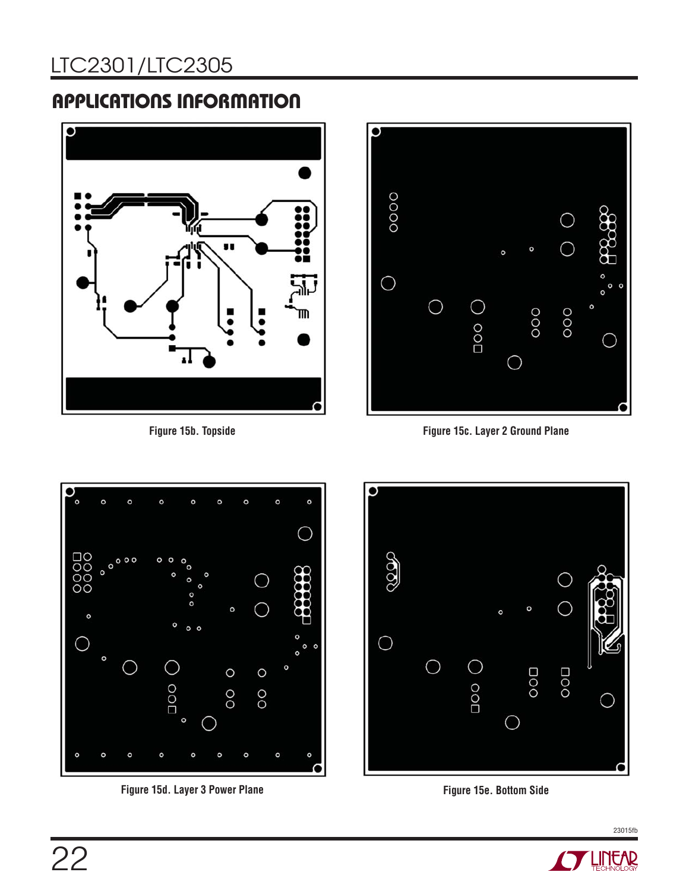# LTC2301/LTC2305

# **APPLICATIONS INFORMATION**



**Figure 15b. Topside**



**Figure 15c. Layer 2 Ground Plane**



**Figure 15d. Layer 3 Power Plane Figure 15e. Bottom Side**





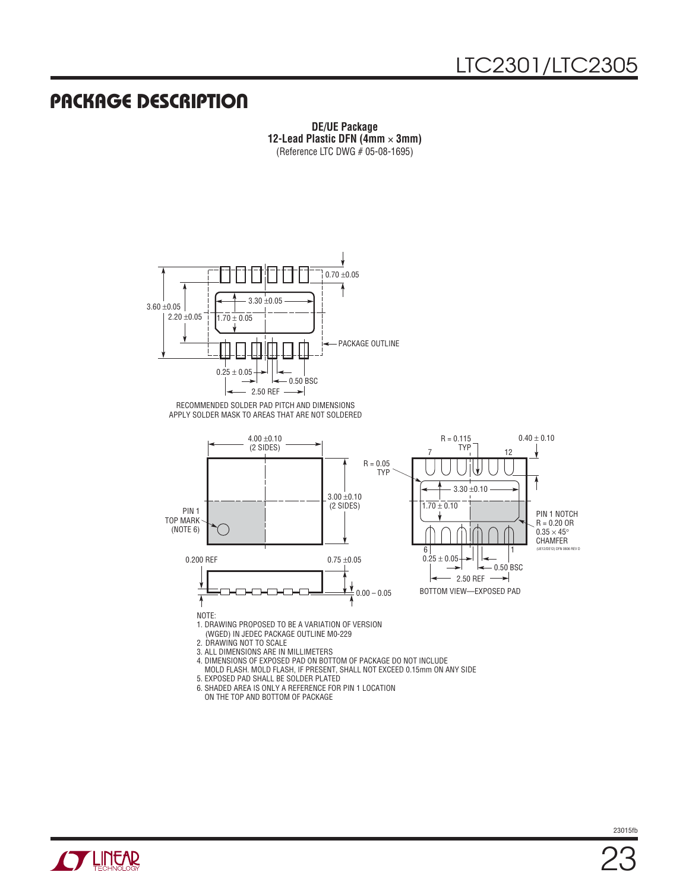### **PACKAGE DESCRIPTION**

**DE/UE Package 12-Lead Plastic DFN (4mm** × **3mm)** (Reference LTC DWG # 05-08-1695)



APPLY SOLDER MASK TO AREAS THAT ARE NOT SOLDERED



4. DIMENSIONS OF EXPOSED PAD ON BOTTOM OF PACKAGE DO NOT INCLUDE

MOLD FLASH. MOLD FLASH, IF PRESENT, SHALL NOT EXCEED 0.15mm ON ANY SIDE

- 5. EXPOSED PAD SHALL BE SOLDER PLATED
- 6. SHADED AREA IS ONLY A REFERENCE FOR PIN 1 LOCATION

ON THE TOP AND BOTTOM OF PACKAGE

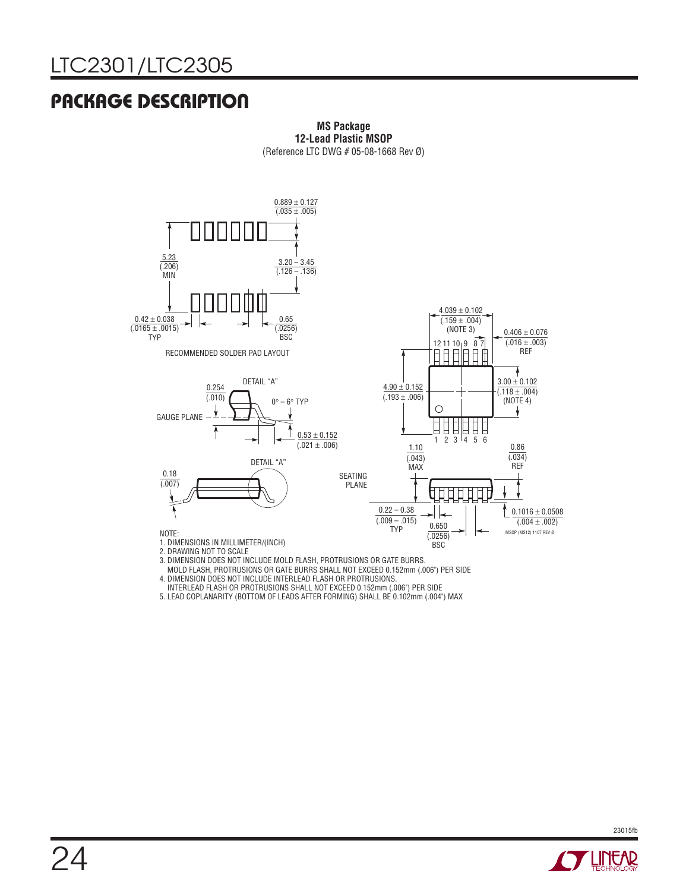# LTC2301/LTC2305

# **PACKAGE DESCRIPTION**



**MS Package 12-Lead Plastic MSOP** (Reference LTC DWG # 05-08-1668 Rev Ø)

MOLD FLASH, PROTRUSIONS OR GATE BURRS SHALL NOT EXCEED 0.152mm (.006") PER SIDE

4. DIMENSION DOES NOT INCLUDE INTERLEAD FLASH OR PROTRUSIONS.

INTERLEAD FLASH OR PROTRUSIONS SHALL NOT EXCEED 0.152mm (.006") PER SIDE

5. LEAD COPLANARITY (BOTTOM OF LEADS AFTER FORMING) SHALL BE 0.102mm (.004") MAX

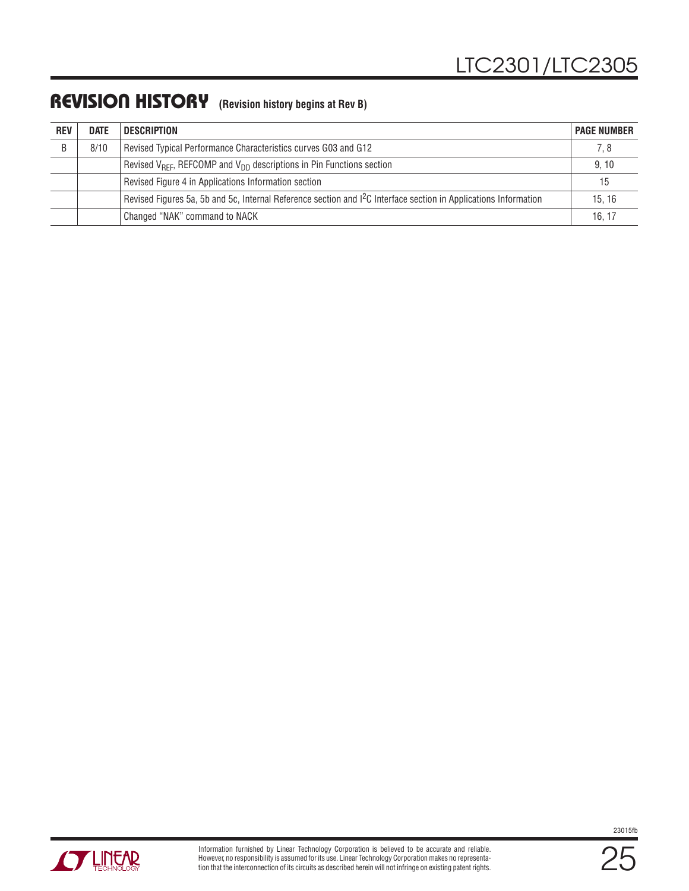### **REVISION HISTORY (Revision history begins at Rev B)**

| <b>REV</b> | <b>DATE</b> | <b>DESCRIPTION</b>                                                                                                | <b>PAGE NUMBER</b> |
|------------|-------------|-------------------------------------------------------------------------------------------------------------------|--------------------|
| B          | 8/10        | Revised Typical Performance Characteristics curves G03 and G12                                                    | 7, 8               |
|            |             | Revised $V_{REF}$ , REFCOMP and $V_{DD}$ descriptions in Pin Functions section                                    | 9, 10              |
|            |             | Revised Figure 4 in Applications Information section                                                              | 15                 |
|            |             | Revised Figures 5a, 5b and 5c, Internal Reference section and $12C$ Interface section in Applications Information | 15.16              |
|            |             | Changed "NAK" command to NACK                                                                                     | 16, 17             |



25